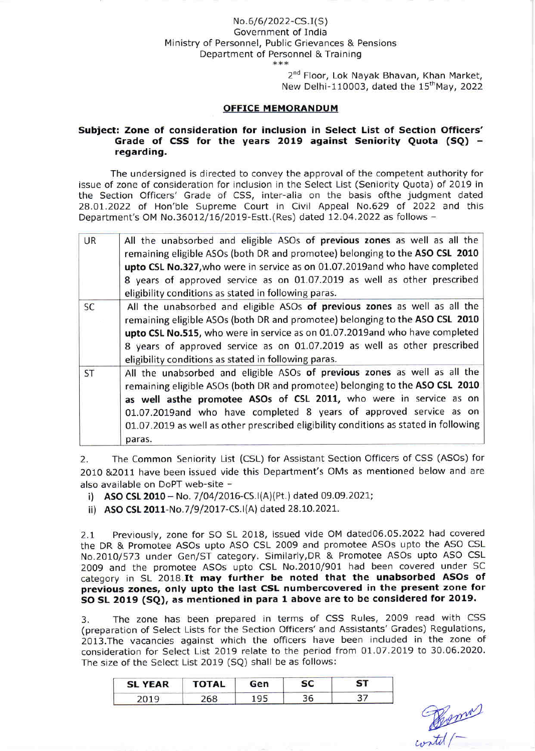## No.6/6/2022-CS.I(S) Government of India Ministry of Personnel, Public Grievances & Pensions Department of Personnel & Training<br>\*\*\*

2<sup>nd</sup> Floor, Lok Navak Bhavan, Khan Market, New Delhi-110003, dated the  $15<sup>th</sup>$ May, 2022

## OFFICE MEMORANDUM

## Subject: Zone of consideration for inclusion in Select List of Section Officers' Grade of CSS for the years 2019 against Seniority Quota (SQ) regarding.

The undersigned is directed to convey the approval of the competent authority for issue of zone of consideration for inclusion in the Select List (Seniority Quota) of 2019 in the Section Officers' Grade of CSS, inter-alia on the basis ofthe judgment dated 28.07.2022 of Hon'ble Supreme Court in Civil Appeal No.629 of 2022 and this Department's OM No.36012/16/2019-Estt.(Res) dated 12.04.2022 as follows -

| <b>UR</b> | All the unabsorbed and eligible ASOs of previous zones as well as all the<br>remaining eligible ASOs (both DR and promotee) belonging to the ASO CSL 2010<br>upto CSL No.327, who were in service as on 01.07.2019and who have completed<br>8 years of approved service as on 01.07.2019 as well as other prescribed<br>eligibility conditions as stated in following paras.                            |
|-----------|---------------------------------------------------------------------------------------------------------------------------------------------------------------------------------------------------------------------------------------------------------------------------------------------------------------------------------------------------------------------------------------------------------|
| SC        | All the unabsorbed and eligible ASOs of previous zones as well as all the<br>remaining eligible ASOs (both DR and promotee) belonging to the ASO CSL 2010<br>upto CSL No.515, who were in service as on 01.07.2019and who have completed<br>8 years of approved service as on 01.07.2019 as well as other prescribed<br>eligibility conditions as stated in following paras.                            |
| ST        | All the unabsorbed and eligible ASOs of previous zones as well as all the<br>remaining eligible ASOs (both DR and promotee) belonging to the ASO CSL 2010<br>as well asthe promotee ASOs of CSL 2011, who were in service as on<br>01.07.2019and who have completed 8 years of approved service as on<br>01.07.2019 as well as other prescribed eligibility conditions as stated in following<br>paras. |

2. The Common Seniority List (CSL) for Assistant Section Officers of CSS (ASOs) for 2010 &2011 have been issued vide this Department's OMs as mentioned below and are also available on DoPT web-site -

- i) ASO CSL 2010 No. 7/04/2016-CS.I(A)(Pt.) dated 09.09.2021;
- ii) AsO cSL 2011-No.719/2017-CS.l(A) dated 28.10.202L.

2.L Previously, zone for SO SL 2018, issued vide OM dated06.05.2022 had covered the DR & Promotee ASOs upto ASO CSL 2009 and promotee ASOs upto the ASO CSL No.20lO/573 under Gen/ST category. Similarly,DR & Promotee ASOs upto ASO CSL 2OO9 and the promotee ASOs upto CSL No.2010/901 had been covered under SC category in SL 2O18.It may further be noted that the unabsorbed ASOs of previous zones, only upto the last CSL numbercovered in the present zone for SO SL 2019 (SQ), as mentioned in para l above are to be considered for 2O19.

3. The zone has been prepared in terms of CSS Rules, 2009 read with CSS (preparation of Select Lists for the Section Officers'and Assistants'Grades) Regulations, 2013.The vacancies against which the officers have been included in the zone of consideration for Select List 2019 relate to the period from 01.07.2019 to 30.06.2020. The size of the Select List 2019 (SQ) shall be as follows:

| <b>SL YEAR</b> | <b>TOTAL</b> | Gen |    | 51 |  |
|----------------|--------------|-----|----|----|--|
|                | 68           |     | 56 |    |  |

Contil (-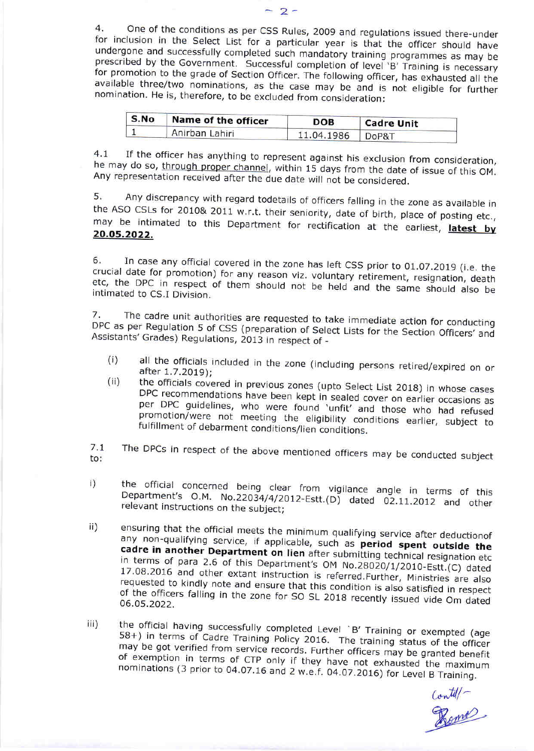4. One of the conditions as per CSS Rules, 2009 and regulations issued there-under<br>for inclusion in the Select List for a particular year is that the officer should have<br>undergone and successfully completed such mandatory

| S.No           | Name of the officer | DOB        | <b>Cadre Unit</b><br>DoP&T |  |
|----------------|---------------------|------------|----------------------------|--|
| Anirban Lahiri |                     | 11.04.1986 |                            |  |

4.1 If the officer has anything to represent against his exclusion from consideration, he may do so, through proper channel, within 15 days from the date of issue of this OM.<br>Any representation received after the due date

5. Any discrepancy with regard todetails of officers falling in the zone as available in the ASO CSLs for 2010& 2011 w.r.t. their seniority, date of birth, place of posting etc., may be intimated to this Department for rec

6. In case any official covered in the zone has left CSS prior to 01.07.2019 (i.e. the crucial date for promotion) for any reason viz. voluntary retirement, resignation, death etc, crucial date for promotion) for any reason viz. voluntary retirement, resignation, death<br>etc, the DPC in respect of them should not be held and the same should also be<br>intimated to CS.I Division.

7. The cadre unit authorities are requested to take immediate action for conducting Assistants' Grades) DPC as per Regulation 5 of CSS (preparation of Select Lists for the Section Officers' and<br>Assistants' Grades) Regulations, 2013 in respect of -

- (i) all the officials included in the zone (including persons retired/expired on or after 7.7.2O19);
- the officials covered in previous zones (upto Select List 2018) in whose cases per DPC DPC recommendations have been kept in sealed cover on earlier occasions as DPC recommendations have been kept in sealed cover on earlier occasions as<br>per DPC guidelines, who were found 'unfit' and those who had refused<br>promotion/were not meeting the eligibility conditions earlier, subject to<br>fulf fulfillment of debarment conditions/lien conditions. ( ii)

7.1 to: The DPCs in respect of the above mentioned officers may be conducted subject

- i) the official concerned being clear from vigilance angle in terms of this<br>Department's O.M. No.22034/4/2012-Estt.(D) dated 02.11.2012 and other<br>relevant\_instructions\_on\_the\_subject; the official concerned being clear from vigilance angle in terms of this
- ii) ensuring that the official meets the minimum qualifying service after deductionof cadre in any non-qualifying service, if applicable, such as period spent outside the any non-qualifying service, if applicable, such as **period spent outside the cadre in another Department on lien** after submitting technical resignation etc in terms of para 2.6 of this Department's OM No.28020/1/2010-Estt  $^{\sf upn}$ .28020/1/2010- Estt. (C) dated requested 17.08.2016 and other extant instruction is referred.Further, Ministries are also requested to kindly note and ensure that this condition is also satisfied in respect of the officers falling in the zone for SO SL 2018 recon 06.05.2022. of the officers falling in the zone for SO SL 2018 recently issued vide Om dated
- the official having successfully completed Level `B' Training or exempted (age<br>58+) in terms of Cadre Trainism Bullion 58+) in terms of Cadre Training Policy 2016. The training status of the officer<br>may be not verified from praining Policy 2016. The training status of the officer may be got verified from service records. Further officers may be granted benefit of exemption in of exemption in terms of CTP only if they have not exhausted the maximum<br>nominations (3 prior to 04.07.16 and 2 w.e.f. 04.07.2016) for Level B Training. iii)

 $\mathcal{L}$ ontil $\Gamma$ %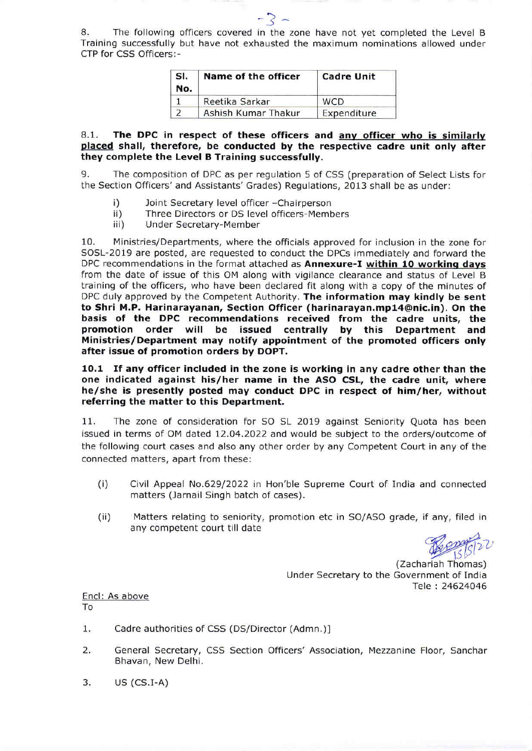8. The following officers covered in the zone have not yet completed the Level <sup>B</sup> Training successfully but have not exhausted the maximum nominations allowed under CTP for CSS Officers:-

- ? -

| SI.<br>No. | Name of the officer | <b>Cadre Unit</b> |  |  |
|------------|---------------------|-------------------|--|--|
|            | Reetika Sarkar      | <b>WCD</b>        |  |  |
|            | Ashish Kumar Thakur | Expenditure       |  |  |

8.1. The DPC in respect of these officers and anv officer who is similarlv placed shall, therefore, be conducted by the respective cadre unit only after they complete the Level B Training successfully.

9. The composition of DPC as per regulation 5 of CSS (preparation of Select Lists for the Section Officers'and Assistants'Grades) Regulations, 2013 shall be as under:

- 
- i) loint Secretary level officer -Chairperson<br>ii) Three Directors or DS level officers-Members<br>iii) Under Secretary-Member
- 

10. Ministries/Departments, where the officials approved for inclusion in the zone for SOSL-2019 are posted, are requested to conduct the DPCs immediately and forward the DPC recommendations in the format attached as Annexure-I within 10 working days from the date of issue of this OM along with vigilance clearance and status of Level <sup>B</sup> training of the officers, who have been declared fit along with a copy of the minutes of DPC duly approved by the Competent Authority. The information may kindly be sent to Shri M.P. Harinarayanan, Section Officer (harinarayan.mpl4@nic.in). On the basis of the DPC recommendations received from the cadre units, the promotion order will be issued centrally by this Department and Ministries/Department may notify appointment of the promoted officers only after issue of promotion orders by DOPT.

10.1 If any officer included in the zone is working in any cadre other than the one indicated against his/her name in the ASO CSL, the cadre unit, where he/she is presently posted may conduct DPC in respect of him/her, without referring the matter to this Department.

11. The zone of consideration for SO SL 2019 against Seniority Quota has been issued in terms of OM dated 12.04.2022 and would be subject to the orders/outcome of the following court cases and also any other order by any Competent Court in any of the connected matters, apart from these:

- (i) Civil Appeal No.629/2022 in Hon'ble Supreme Court of India and connected matters (Jarnail Singh batch of cases).
- (ii) Matters relating to seniority, promotion etc in SO/ASO grade, if any, filed in any competent court till date

Under Secretary to the Government of India (Zachariah Thomas) Tele : 24524046

Encl: As above To

- Cadre authorities of CSS (DS/Director (Admn.)l 1
- General Secretary, CSS Section Officers' Association, Mezzanine Floor, Sanchar Bhavan, New Delhi.  $2.$
- $US (CS.I-A)$ 3.